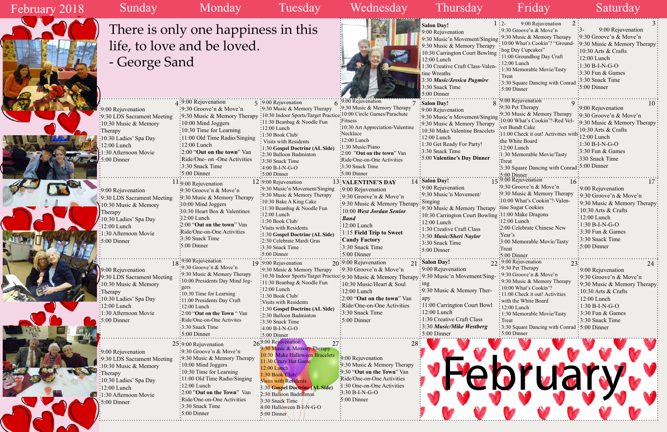February 2018

E

|               | 2<br>$1:2$ - 9:00 Rejuvenation                | 3 <sup>1</sup>               |  |  |
|---------------|-----------------------------------------------|------------------------------|--|--|
|               | $9:30$ Groove'n & Move'n                      | 9:00 Rejuvenation<br>$3-$    |  |  |
|               | 9:30 Music & Memory Therapy                   | 9:30 Groove'n & Move'n       |  |  |
| $\frac{1}{2}$ | 10:00 What's Cookin'? "Ground-                | 9:30 Music & Memory Therapy  |  |  |
| py            | hog Day Cupcakes"                             | 10:30 Arts & Crafts          |  |  |
| ing           | 11:00 Groundhog Day Craft                     | 12:00 Lunch                  |  |  |
|               | 12:00 Lunch                                   |                              |  |  |
| en-           | 1:30 Memorable Movie/Tasty                    | $1:30 B-I-N-G-O$             |  |  |
|               | Treat                                         | 3:30 Fun & Games             |  |  |
|               | 3:30 Square Dancing with Conrad               | 3:30 Snack Time              |  |  |
|               | 5:00 Dinner                                   | 5:00 Dinner                  |  |  |
|               |                                               |                              |  |  |
| 8             | '9:00 Rejuvenation<br>9                       | 10                           |  |  |
|               | :9:30 Pet Therapy                             | 9:00 Rejuvenation            |  |  |
| ing:          | :9:30 Music & Memory Therapy                  | :9:30 Groove'n & Move'n      |  |  |
|               | 10:00 What's Cookin'?-Red Vel-                | 9:30 Music & Memory Therapy  |  |  |
| py<br>ets     | vet Bundt Cake                                | 10:30 Arts $&$ Crafts        |  |  |
|               | 11:00 Check it out! Activities with-          | 12:00 Lunch                  |  |  |
|               | the White Board                               | 1:30 B-I-N-G-O               |  |  |
|               | $:12:00$ Lunch                                |                              |  |  |
|               | :1:30 Memorable Movie/Tasty                   | 3:30 Fun & Games             |  |  |
|               | Treat                                         | 330 Snack Time               |  |  |
|               | :3:30 Square Dancing with Conrad              | 5:00 Dinner                  |  |  |
|               | $:5:00$ Dinner                                |                              |  |  |
|               | $15.9:00$ Rejuvenation<br>16                  | 17                           |  |  |
|               | 9:30 Groove'n & Move'n                        | 9:00 Rejuvenation            |  |  |
|               | 9:30 Music & Memory Therapy                   | 9:30 Groove'n & Move'n       |  |  |
|               | :10:00 What's Cookin'?-Valen-                 | 9:30 Music & Memory Therapy  |  |  |
| py            | tine Sugar Cookies                            | 10:30 Arts & Crafts          |  |  |
|               | ing :11:00 Make Dragons                       | 12:00 Lunch                  |  |  |
|               | :12:00 Lunch                                  | 1:30 B-I-N-G-O               |  |  |
|               | :2:00 Celebrate Chinese New                   | 3:30 Fun & Games             |  |  |
|               | :Year's                                       |                              |  |  |
|               | :3:00 Memorable Movie/Tasty                   | 3:30 Snack Time              |  |  |
|               | Treat                                         | 5:00 Dinner                  |  |  |
|               | 5:00 Dinner                                   |                              |  |  |
|               | 22:9:00 Rejuvenation<br>23:                   | 24                           |  |  |
|               | 9:30 Pet Therapy                              | 9:00 Rejuvenation            |  |  |
| ig-           | 9:30 Groove'n & Move'n                        | 9:30 Groove'n & Move'n       |  |  |
|               | 9:30 Music & Memory Therapy                   | 9:30 Music & Memory Therapy: |  |  |
|               | 10:00 What's Cookin'?                         | 10:30 Arts & Crafts          |  |  |
|               | 11:00 Check it out! Activities                | 12:00 Lunch                  |  |  |
| $\mathbf{d}$  | with the White Board                          |                              |  |  |
|               | 12:00 Lunch                                   | 1:30 B-I-N-G-O               |  |  |
|               | 1:30 Memorable Movie/Tasty                    | 3:30 Fun & Games             |  |  |
|               | Treat                                         | 3:30 Snack Time              |  |  |
|               | 3:30 Square Dancing with Conrad : 5:00 Dinner |                              |  |  |
|               | $\frac{1}{2}$ 5:00 Dinner                     |                              |  |  |



 $\mathcal{L}_{\mathcal{L}}$ 

|                                    |                                              |                                                                                                |                                       | <b>Salon Day!</b>                                     | 2 :<br>$1:2-$<br>9:00 Rejuvenation                |                                               |
|------------------------------------|----------------------------------------------|------------------------------------------------------------------------------------------------|---------------------------------------|-------------------------------------------------------|---------------------------------------------------|-----------------------------------------------|
|                                    | There is only one happiness in this          |                                                                                                |                                       | 9:00 Rejuvenation                                     | : 9:30 Groove'n $&$ Move'n                        | $:3-$<br>9:00 Rejuvenation                    |
|                                    |                                              |                                                                                                |                                       | 9:30 Music'n Movement/Singing                         | $\frac{1}{2}$ 9:30 Music & Memory Therapy         | $\frac{1}{2}$ :30 Groove'n & Move'n           |
|                                    | life, to love and be loved.                  |                                                                                                |                                       | 9:30 Music & Memory Therapy                           | 10:00 What's Cookin'? "Ground-                    | :9:30 Music & Memory Therapy                  |
|                                    |                                              |                                                                                                |                                       | 10:30 Carrington Court Bowling                        | : hog Day Cupcakes"                               | $\frac{10:30 \text{ Arts}}{8 \text{ Crafts}}$ |
|                                    |                                              |                                                                                                |                                       | 12:00 Lunch                                           | 11:00 Groundhog Day Craft                         | $\frac{12:00}{2}$ Lunch                       |
| - George Sand                      |                                              |                                                                                                |                                       | 1:30 Creative Craft Class-Valen-                      | $\cdot$ 12:00 Lunch                               | $:1:30 B-I-N-G-O$                             |
|                                    |                                              |                                                                                                |                                       | tine Wreaths                                          | 1:30 Memorable Movie/Tasty                        | $\frac{1}{2}$ 3:30 Fun & Games                |
|                                    |                                              |                                                                                                |                                       | 3:30 Music/Jessica Pugmire                            | : $Treat$                                         | :3:30 Snack Time                              |
|                                    |                                              |                                                                                                |                                       | 3:30 Snack Time                                       | : 3:30 Square Dancing with Conrad                 | $\frac{1}{2}$ 5:00 Dinner                     |
|                                    |                                              |                                                                                                |                                       | 5:00 Dinner                                           | $\cdot$ 5:00 Dinner                               |                                               |
|                                    |                                              |                                                                                                |                                       |                                                       |                                                   |                                               |
|                                    | $\frac{1}{2}$ :9:00 Rejuvenation             | 5 :9:00 Rejuvenation                                                                           | $6:9:00$ Rejuvenation                 | <b>Salon Day!</b>                                     | .9:00 Rejuvenation<br>:9:30 Pet Therapy           |                                               |
| :9:00 Rejuvenation                 | $\frac{1}{2}9:30$ Groove'n & Move'n          | :9:30 Music & Memory Therapy                                                                   | :9:30 Music & Memory Therapy          | :9:00 Rejuvenation                                    |                                                   | :9:00 Rejuvenation                            |
| :9:30 LDS Sacrament Meeting        | :9:30 Music & Memory Therapy                 | :10:30 Indoor Sports/Target Practice:10:00 Circle Games/Parachute                              |                                       | :9:30 Music'n Movement/Singing                        | :9:30 Music & Memory Therapy                      | $\frac{1}{2}$ 9:30 Groove'n & Move'n          |
| :10:30 Music & Memory              | $\frac{1}{2}10:00$ Mind Joggers              | :11:30 Beanbag & Noodle Fun                                                                    | :Fitness:                             | :9:30 Music & Memory Therapy                          | 10:00 What's Cookin'?-Red Vel-                    | :9:30 Music & Memory Therapy                  |
| $:$ Therapy                        | $\frac{1}{2}10:30$ Time for Learning         | :12:00 Lunch                                                                                   | :10:30 Art Appreciation-Valentine     | 10:30 Make Valentine Bracelets                        | vet Bundt Cake                                    | $\frac{10:30 \text{ Arts}}{8}$ Crafts         |
| 10:30 Ladies' Spa Day              | :11:00 Old Time Radio/Singing                | :1:30 Book Club/                                                                               | Necklace                              | $: 12:00$ Lunch                                       | :11:00 Check it out! Activities with: 12:00 Lunch |                                               |
| $:12:00$ Lunch                     | $\frac{1}{2}12:00$ Lunch                     | Visits with Residents                                                                          | :12:00 Lunch                          | : 1:30 Get Ready For Party!                           | ihe White Board                                   | $\frac{1}{2}1:30 B-I-N-G-O$                   |
| 1:30 Afternoon Movie               | $\frac{1}{2}$ :00 "Out on the town" Van      | :1:30 Gospel Doctrine (AL Side)                                                                | :1:30 Music/Piano                     | $\frac{1}{2}$ 3:30 Snack Time                         | :12:00 Lunch                                      | $\frac{1}{2}$ :30 Fun & Games                 |
|                                    |                                              | :2:30 Balloon Badminton                                                                        | :2:00 "Out on the town" Van           | :5:00 Valentine's Day Dinner                          | :1:30 Memorable Movie/Tasty                       | :330 Snack Time                               |
| $\frac{5:00}{5:00}$ Dinner         | :Ride/One- on -One Activities                | :3:30 Snack Time                                                                               | Ride/One-on-One Activities            |                                                       | :Treat                                            |                                               |
|                                    | $:3:30$ Snack Time                           | $-4:00 B-I-N-G-O$                                                                              | 3:30 Snack Time                       |                                                       | :3:30 Square Dancing with Conrad: 5:00 Dinner     |                                               |
|                                    | $:5:00$ Dinner                               | 5:00 Dinner                                                                                    | $\frac{1}{2}$ 5:00 Dinner             |                                                       | $5:00$ Dinner                                     |                                               |
|                                    | <sup>1</sup> 1:9:00 Rejuvenation             | $12:9:00$ Rejuvenation                                                                         | <b>13: VALENTINE'S DAY</b>            | 14: Salon Day!                                        | $15:9:00$ Rejuvenation<br>l6:                     | 17                                            |
| :9:00 Rejuvenation                 | :9:30 Groove'n & Move'n                      | :9:30 Music'n Movement/Singing                                                                 | :9:00 Rejuvenation                    | $\frac{1}{2}$ 9:00 Rejuvenation                       | 9:30 Groove'n & Move'n                            | :9:00 Rejuvenation                            |
| :9:30 LDS Sacrament Meeting        | :9:30 Music & Memory Therapy                 | :9:30 Music & Memory Therapy                                                                   | :9:30 Groove'n & Move'n               | :9:30 Music'n Movement/                               | .9:30 Music & Memory Therapy                      | :9:30 Groove'n & Move'n                       |
|                                    | :10:00 Mind Joggers                          | :10:30 Bake A King Cake                                                                        | :9:30 Music & Memory Therapy          | $:$ Singing                                           | :10:00 What's Cookin'?-Valen-                     | :9:30 Music & Memory Therapy                  |
| $\frac{1}{2}10:30$ Music & Memory  |                                              | :11:30 Beanbag & Noodle Fun                                                                    |                                       | $\frac{1}{2}$ 9:30 Music & Memory Therapy             | tine Sugar Cookies                                | $\frac{10:30 \text{ Arts}}{8 \text{ Crafts}}$ |
| Therapy                            | $:10:30$ Heart Box & Valentines              | $:12:00$ Lunch                                                                                 | 10:00 West Jordan Senior              | : 10:30 Carrington Court Bowling : 11:00 Make Dragons |                                                   | $\frac{1}{2}12:00$ Lunch                      |
| 10:30 Ladies' Spa Day              | $\frac{1}{2}$ :00 Lunch                      | :1:30 Book Club/                                                                               | :Band                                 | $: 12:00$ Lunch                                       | :12:00 Lunch                                      |                                               |
| $\frac{1}{2}12:00$ Lunch           | 2:00 "Out on the town" Van                   | :Visits with Residents                                                                         | $:12:00$ Lunch                        | 1:30 Creative Craft Class                             | :2:00 Celebrate Chinese New                       | $\div 1:30 B-I-N-G-O$                         |
| $\frac{1}{2}$ 1:30 Afternoon Movie | Ride/One-on-One Activities                   | :1:30 Gospel Doctrine (AL Side)                                                                | $\frac{1}{2}1:15$ Field Trip to Sweet | 3:30 Music/Sheri Naylor                               | :Year's                                           | $\frac{1}{2}$ 3:30 Fun & Games                |
| $\frac{1}{2}$ :00 Dinner           | 3:30 Snack Time                              | :2:30 Celebrate Mardi Gras                                                                     | <b>Candy Factory</b>                  | :3:30 Snack Time                                      | :3:00 Memorable Movie/Tasty                       | :3:30 Snack Time                              |
|                                    | :5:00 Dinner                                 | :3:30 Snack Time                                                                               | :3:30 Snack Time                      | $:5:00$ Dinner                                        | Treat                                             | $\frac{1}{2}$ 5:00 Dinner                     |
|                                    |                                              | :5:00 Dinner                                                                                   | $\frac{1}{2}$ 5:00 Dinner             |                                                       | 5:00 Dinner                                       |                                               |
|                                    | $18$ <sup>:9:00</sup> Rejuvenation           | 19:9:00 Rejuvenation                                                                           | $20:9:00$ Rejuvenation                | $21$ : Salon Day!                                     | $22:9:00$ Rejuvenation<br>23:                     | 24                                            |
| 9:00 Rejuvenation                  | :9:30 Groove'n & Move'n                      | :9:30 Music & Memory Therapy                                                                   | :9:30 Groove'n & Move'n               | : 9:00 Rejuvenation                                   | $: 9:30$ Pet Therapy                              | :9:00 Rejuvenation                            |
|                                    | :9:30 Music & Memory Therapy                 | :10:30 Indoor Sports/Target Practice: 9:30 Music & Memory Therapy: 9:30 Music'n Movement/Sing- |                                       |                                                       | : 9:30 Groove'n & Move'n                          | :9:30 Groove'n & Move'n                       |
| 9:30 LDS Sacrament Meeting         | :10:00 Presidents Day Mind Jog-              | :11:30 Beanbag & Noodle Fun                                                                    |                                       |                                                       | : 9:30 Music & Memory Therapy                     |                                               |
| :10:30 Music & Memory              | : gers                                       | $:12:00$ Lunch                                                                                 | :10:30 Music/Heart & Soul             | $\frac{1}{2}$ ing                                     | : 10:00 What's Cookin'?                           | :9:30 Music & Memory Therapy                  |
| :Therapy                           | $\frac{1}{2}10:30$ Time for Learning         | :1:30 Book Club/                                                                               | :12:00 Lunch                          | :9:30 Music & Memory Ther-                            | : 11:00 Check it out! Activities                  | $\frac{1}{2}10:30$ Arts & Crafts              |
| :10:30 Ladies' Spa Day             | :11:00 Presidents Day Craft                  | :Visits with Residents                                                                         | :2:00 "Out on the town" Van           | $\frac{1}{2}$ apy                                     | with the White Board                              | $\frac{1}{2}12:00$ Lunch                      |
| :12:00 Lunch                       | $:12:00$ Lunch                               | :1:30 Gospel Doctrine (AL Side)                                                                | :Ride/One-on-One Activities           | : 11:00 Carrington Court Bowl                         | $: 12:00$ Lunch                                   | $\frac{1}{2}1:30 B-I-N-G-O$                   |
| :1:30 Afternoon Movie              | $\frac{1}{2}$ :00 "Out on the Town "Van      | :2:30 Balloon Badminton                                                                        | :3:30 Snack Time                      | :12:00 Lunch                                          | : 1:30 Memorable Movie/Tasty                      | $\frac{1}{2}$ 3:30 Fun & Games                |
| :5:00 Dinner                       | Ride/One-on-One Activites                    | :3:30 Snack Time                                                                               | $:5:00$ Dinner                        | : 1:30 Creative Craft Class                           | : Treat                                           | $\frac{1}{2}$ :30 Snack Time                  |
|                                    | $\frac{1}{2}$ :30 Snack Time                 | $:4:00 B-I-N-G-O$                                                                              |                                       | : 3:30 Music/Mike Westberg                            | : 3:30 Square Dancing with Conrad : 5:00 Dinner   |                                               |
|                                    | $\cdot$ 5:00 Dinner                          | :5:00 Dinner                                                                                   |                                       | 5:00 Dinner                                           | $\div 5:00$ Dinner                                |                                               |
|                                    |                                              | 269:00 Rejuvenation                                                                            |                                       |                                                       |                                                   |                                               |
|                                    | $25:9:00$ Rejuvenation                       | 27<br>9:30 Music & Memory Therapy                                                              | 28                                    |                                                       |                                                   |                                               |
| :9:00 Rejuvenation                 | $\frac{1}{2}$ 9:30 Groove'n & Move'n         | 10:30 Make Halloween Bracelets                                                                 |                                       |                                                       |                                                   |                                               |
| :9:30 LDS Sacrament Meeting        | :9:30 Music & Memory Therapy                 | 11:30 Crazy Hat Game                                                                           | 9:00 Rejuvenation                     |                                                       |                                                   |                                               |
| 10:30 Music & Memory               | $\frac{10:00 \text{ Mind} \text{Joggers}}{}$ | 12:00 Lunch                                                                                    | 9:30 Music & Memory Therapy           |                                                       |                                                   |                                               |
| :Therapy                           | :10:30 Time for Learning                     | 1:30 Book Club/                                                                                | 9:30 "Out on the Town" Van            |                                                       |                                                   |                                               |
| $\frac{1}{2}10:30$ Ladies' Spa Day | :11:00 Old Time Radio/Singing                | <b>Visits with Residents</b>                                                                   | Ride/One-on-One Activities            |                                                       |                                                   |                                               |
| $:12:00$ Lunch                     | :12:00 Lunch                                 | 1:30 Gospel Doctrine (AL Side)                                                                 | :1:30 One-on-One Activities           |                                                       |                                                   |                                               |
| $:1:30$ Afternoon Movie            | :2:00 "Out on the Town" Van                  | 2:30 Balloon Badminton                                                                         | 3:30 B-I-N-G-O                        |                                                       |                                                   |                                               |
|                                    | :Ride/One-on-One Activities                  | 3:30 Snack Time                                                                                | 5:00 Dinner                           |                                                       |                                                   |                                               |
| $\frac{1}{2}$ 5:00 Dinner          | :3:30 Snack Time                             | 4:00 Halloween B-I-N-G-O                                                                       |                                       |                                                       |                                                   |                                               |
|                                    | $\frac{1}{2}$ :00 Dinner                     | 5:00 Dinner                                                                                    |                                       |                                                       |                                                   |                                               |
|                                    |                                              |                                                                                                |                                       |                                                       |                                                   |                                               |